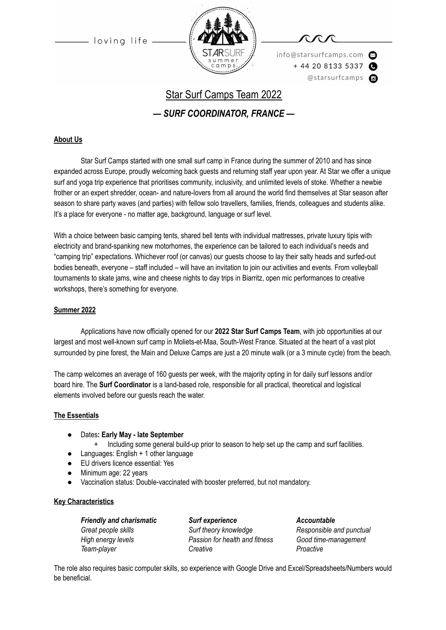

info@starsurfcamps.com  $+442081335337$ @starsurfcamps @

# Star Surf Camps Team 2022

*— SURF COORDINATOR, FRANCE —*

#### **About Us**

Star Surf Camps started with one small surf camp in France during the summer of 2010 and has since expanded across Europe, proudly welcoming back guests and returning staff year upon year. At Star we offer a unique surf and yoga trip experience that prioritises community, inclusivity, and unlimited levels of stoke. Whether a newbie frother or an expert shredder, ocean- and nature-lovers from all around the world find themselves at Star season after season to share party waves (and parties) with fellow solo travellers, families, friends, colleagues and students alike. It's a place for everyone - no matter age, background, language or surf level.

With a choice between basic camping tents, shared bell tents with individual mattresses, private luxury tipis with electricity and brand-spanking new motorhomes, the experience can be tailored to each individual's needs and "camping trip" expectations. Whichever roof (or canvas) our guests choose to lay their salty heads and surfed-out bodies beneath, everyone – staff included – will have an invitation to join our activities and events. From volleyball tournaments to skate jams, wine and cheese nights to day trips in Biarritz, open mic performances to creative workshops, there's something for everyone.

#### **Summer 2022**

Applications have now officially opened for our **2022 Star Surf Camps Team**, with job opportunities at our largest and most well-known surf camp in Moliets-et-Maa, South-West France. Situated at the heart of a vast plot surrounded by pine forest, the Main and Deluxe Camps are just a 20 minute walk (or a 3 minute cycle) from the beach.

The camp welcomes an average of 160 guests per week, with the majority opting in for daily surf lessons and/or board hire. The **Surf Coordinator** is a land-based role, responsible for all practical, theoretical and logistical elements involved before our guests reach the water.

#### **The Essentials**

- Dates**: Early May late September**
	- Including some general build-up prior to season to help set up the camp and surf facilities.
- Languages: English + 1 other language
- EU drivers licence essential: Yes
- Minimum age: 22 years
- Vaccination status: Double-vaccinated with booster preferred, but not mandatory.

#### **Key Characteristics**

| <b>Friendly and charismatic</b> | Surf experience                | <b>Accountable</b>       |
|---------------------------------|--------------------------------|--------------------------|
| Great people skills             | Surf theory knowledge          | Responsible and punctual |
| High energy levels              | Passion for health and fitness | Good time-management     |
| Team-player                     | Creative                       | Proactive                |

The role also requires basic computer skills, so experience with Google Drive and Excel/Spreadsheets/Numbers would be beneficial.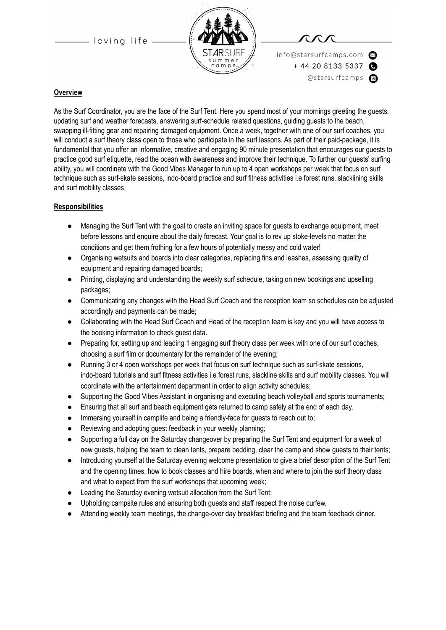

info@starsurfcamps.com  $+442081335337$ @starsurfcamps c

#### **Overview**

As the Surf Coordinator, you are the face of the Surf Tent. Here you spend most of your mornings greeting the guests, updating surf and weather forecasts, answering surf-schedule related questions, guiding guests to the beach, swapping ill-fitting gear and repairing damaged equipment. Once a week, together with one of our surf coaches, you will conduct a surf theory class open to those who participate in the surf lessons. As part of their paid-package, it is fundamental that you offer an informative, creative and engaging 90 minute presentation that encourages our guests to practice good surf etiquette, read the ocean with awareness and improve their technique. To further our guests' surfing ability, you will coordinate with the Good Vibes Manager to run up to 4 open workshops per week that focus on surf technique such as surf-skate sessions, indo-board practice and surf fitness activities i.e forest runs, slacklining skills and surf mobility classes.

#### **Responsibilities**

- Managing the Surf Tent with the goal to create an inviting space for guests to exchange equipment, meet before lessons and enquire about the daily forecast. Your goal is to rev up stoke-levels no matter the conditions and get them frothing for a few hours of potentially messy and cold water!
- Organising wetsuits and boards into clear categories, replacing fins and leashes, assessing quality of equipment and repairing damaged boards;
- Printing, displaying and understanding the weekly surf schedule, taking on new bookings and upselling packages;
- Communicating any changes with the Head Surf Coach and the reception team so schedules can be adjusted accordingly and payments can be made;
- Collaborating with the Head Surf Coach and Head of the reception team is key and you will have access to the booking information to check guest data.
- Preparing for, setting up and leading 1 engaging surf theory class per week with one of our surf coaches, choosing a surf film or documentary for the remainder of the evening;
- Running 3 or 4 open workshops per week that focus on surf technique such as surf-skate sessions, indo-board tutorials and surf fitness activities i.e forest runs, slackline skills and surf mobility classes. You will coordinate with the entertainment department in order to align activity schedules;
- Supporting the Good Vibes Assistant in organising and executing beach volleyball and sports tournaments;
- Ensuring that all surf and beach equipment gets returned to camp safely at the end of each day.
- Immersing yourself in camplife and being a friendly-face for guests to reach out to;
- Reviewing and adopting quest feedback in your weekly planning;
- Supporting a full day on the Saturday changeover by preparing the Surf Tent and equipment for a week of new guests, helping the team to clean tents, prepare bedding, clear the camp and show guests to their tents;
- Introducing yourself at the Saturday evening welcome presentation to give a brief description of the Surf Tent and the opening times, how to book classes and hire boards, when and where to join the surf theory class and what to expect from the surf workshops that upcoming week;
- Leading the Saturday evening wetsuit allocation from the Surf Tent;
- Upholding campsite rules and ensuring both guests and staff respect the noise curfew.
- Attending weekly team meetings, the change-over day breakfast briefing and the team feedback dinner.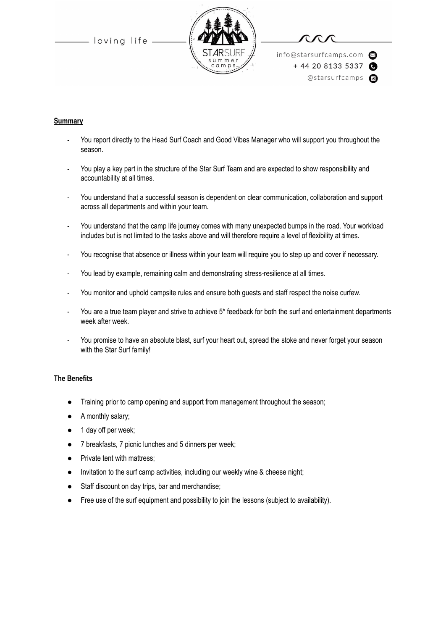

info@starsurfcamps.com  $+442081335337$ @starsurfcamps @

#### **Summary**

- You report directly to the Head Surf Coach and Good Vibes Manager who will support you throughout the season.
- You play a key part in the structure of the Star Surf Team and are expected to show responsibility and accountability at all times.
- You understand that a successful season is dependent on clear communication, collaboration and support across all departments and within your team.
- You understand that the camp life journey comes with many unexpected bumps in the road. Your workload includes but is not limited to the tasks above and will therefore require a level of flexibility at times.
- You recognise that absence or illness within your team will require you to step up and cover if necessary.
- You lead by example, remaining calm and demonstrating stress-resilience at all times.
- You monitor and uphold campsite rules and ensure both guests and staff respect the noise curfew.
- You are a true team player and strive to achieve 5<sup>\*</sup> feedback for both the surf and entertainment departments week after week.
- You promise to have an absolute blast, surf your heart out, spread the stoke and never forget your season with the Star Surf family!

#### **The Benefits**

- Training prior to camp opening and support from management throughout the season;
- A monthly salary;
- 1 day off per week;
- 7 breakfasts, 7 picnic lunches and 5 dinners per week;
- Private tent with mattress;
- Invitation to the surf camp activities, including our weekly wine & cheese night;
- Staff discount on day trips, bar and merchandise;
- Free use of the surf equipment and possibility to join the lessons (subject to availability).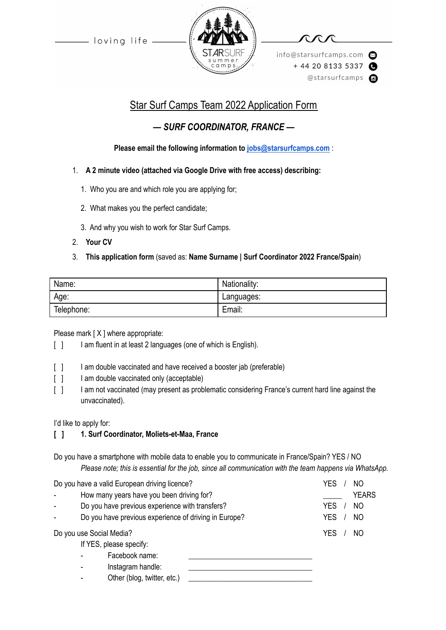

info@starsurfcamps.com  $+442081335337$ @starsurfcamps @

# Star Surf Camps Team 2022 Application Form

# *— SURF COORDINATOR, FRANCE —*

## **Please email the following information to [jobs@starsurfcamps.com](mailto:jobs@starsurfcamps.com)** :

### 1. **A 2 minute video (attached via Google Drive with free access) describing:**

- 1️. Who you are and which role you are applying for;
- 2. What makes you the perfect candidate;
- 3️. And why you wish to work for Star Surf Camps.
- 2. **Your CV**

## 3. **This application form** (saved as: **Name Surname | Surf Coordinator 2022 France/Spain**)

| Name:      | Nationality: |
|------------|--------------|
| Age:       | Languages:   |
| Telephone: | Email:       |

Please mark [X ] where appropriate:

- [ ] I am fluent in at least 2 languages (one of which is English).
- [ ] I am double vaccinated and have received a booster jab (preferable)
- [ ] I am double vaccinated only (acceptable)
- [  $1$  I am not vaccinated (may present as problematic considering France's current hard line against the unvaccinated).

I'd like to apply for:

# **[ ] 1. Surf Coordinator, Moliets-et-Maa, France**

Do you have a smartphone with mobile data to enable you to communicate in France/Spain? YES / NO *Please note; this is essential for the job, since all communication with the team happens via WhatsApp.*

| Do you have a valid European driving licence? |                                                       |                                           | YES<br>NΟ |              |  |
|-----------------------------------------------|-------------------------------------------------------|-------------------------------------------|-----------|--------------|--|
|                                               |                                                       | How many years have you been driving for? |           | <b>YEARS</b> |  |
|                                               | Do you have previous experience with transfers?       |                                           | YES<br>NO |              |  |
|                                               | Do you have previous experience of driving in Europe? |                                           |           | YES<br>NO    |  |
| Do you use Social Media?                      |                                                       | YES<br>NO                                 |           |              |  |
| If YES, please specify:                       |                                                       |                                           |           |              |  |
|                                               |                                                       | Facebook name:                            |           |              |  |
|                                               |                                                       | Instagram handle:                         |           |              |  |
|                                               |                                                       | Other (blog, twitter, etc.)               |           |              |  |